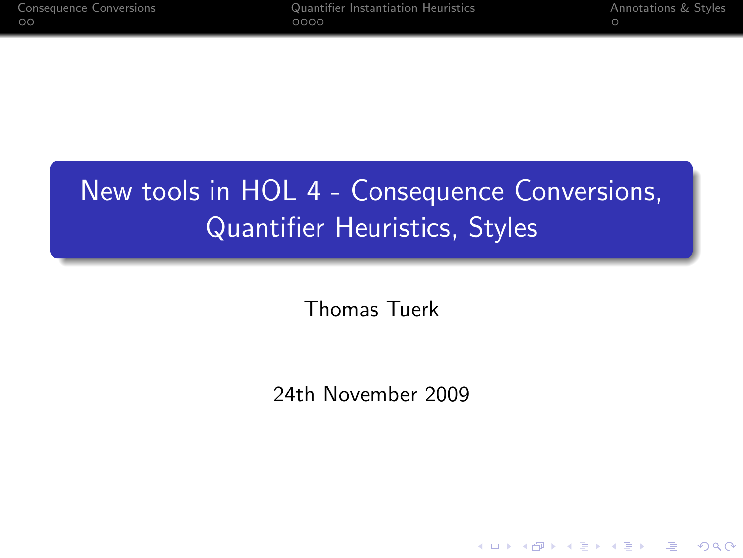[Consequence Conversions](#page-1-0) [Quantifier Instantiation Heuristics](#page-3-0) [Annotations & Styles](#page-7-0)

K ロ ▶ K @ ▶ K 할 > K 할 > 1 할 > 1 이익어

# New tools in HOL 4 - Consequence Conversions, Quantifier Heuristics, Styles

Thomas Tuerk

24th November 2009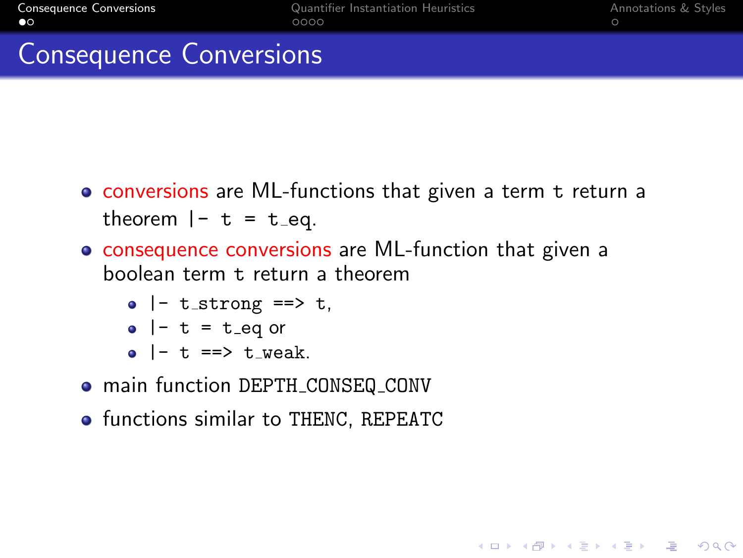**KORK EX KEY KEY KORA** 

#### Consequence Conversions

- conversions are ML-functions that given a term t return a theorem  $|- t = t$  eq.
- consequence conversions are ML-function that given a boolean term t return a theorem
	- $\bullet$  |- t\_strong ==> t,
	- $\bullet$  |- t = t\_eq or
	- $\bullet$  |- t ==> t\_weak.
- $\bullet$  main function DEPTH CONSEQ CONV
- <span id="page-1-0"></span>**•** functions similar to THENC, REPEATC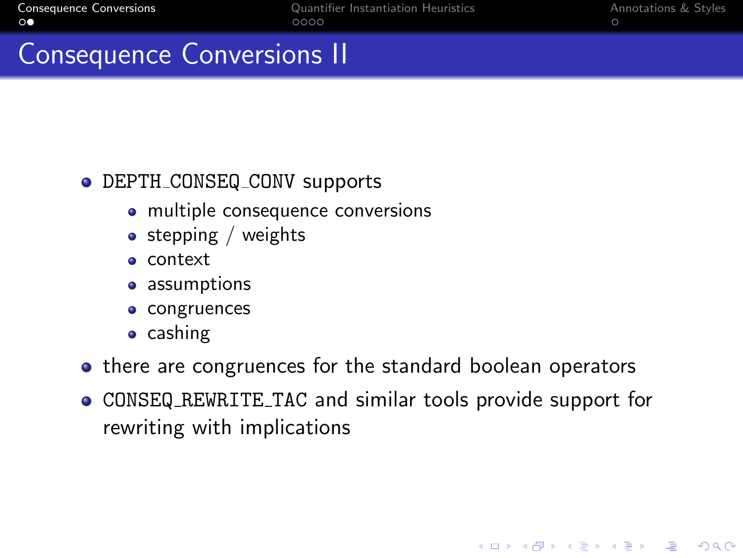**KORK EX KEY KEY KORA** 

#### Consequence Conversions II

#### • DEPTH\_CONSEQ\_CONV supports

- multiple consequence conversions
- $\bullet$  stepping / weights
- context
- assumptions
- congruences
- $\bullet$  cashing
- there are congruences for the standard boolean operators
- CONSEQ REWRITE TAC and similar tools provide support for rewriting with implications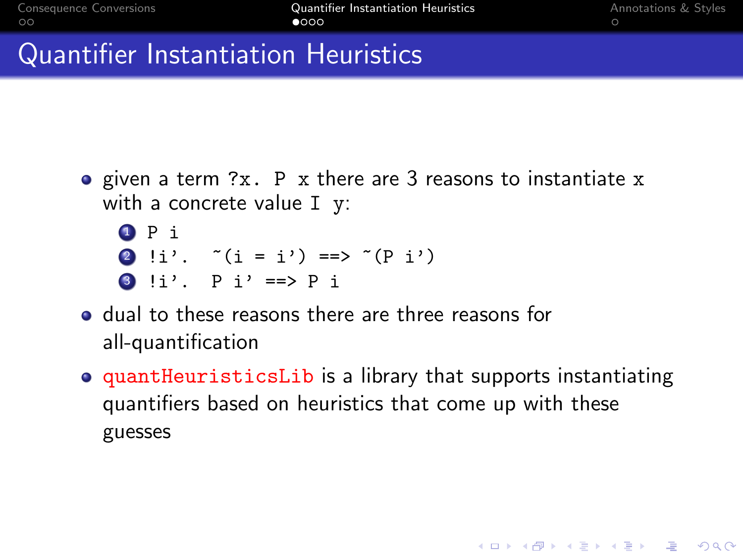**KORK EX KEY KEY KORA** 

### Quantifier Instantiation Heuristics

- given a term ?x. P x there are 3 reasons to instantiate x with a concrete value I y:
	- **O** P i 2 !i'.  $*(i = i') == > ((p i')')$ 3 !i'.  $P i' == P i$
- **•** dual to these reasons there are three reasons for all-quantification
- <span id="page-3-0"></span>**• quantHeuristicsLib** is a library that supports instantiating quantifiers based on heuristics that come up with these guesses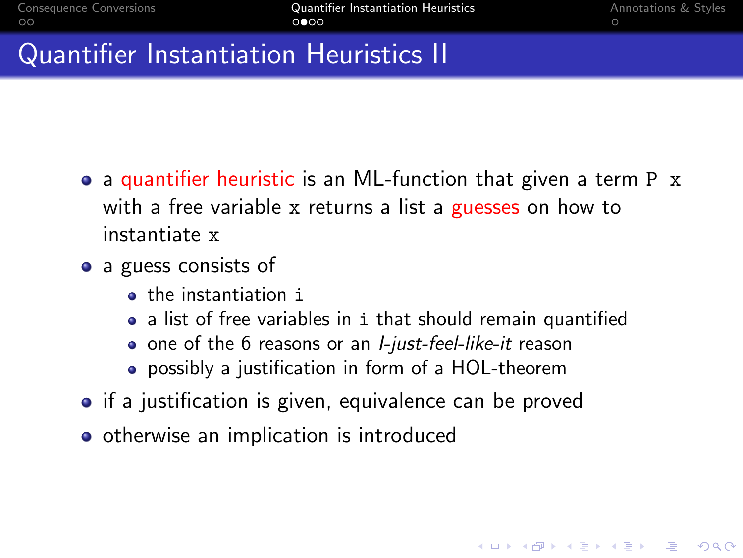**AD A REAKEN E YOUR** 

### Quantifier Instantiation Heuristics II

- a quantifier heuristic is an ML-function that given a term P x with a free variable x returns a list a guesses on how to instantiate x
- a guess consists of
	- **o** the instantiation i
	- a list of free variables in i that should remain quantified
	- one of the 6 reasons or an *I-just-feel-like-it* reason
	- possibly a justification in form of a HOL-theorem
- if a justification is given, equivalence can be proved
- otherwise an implication is introduced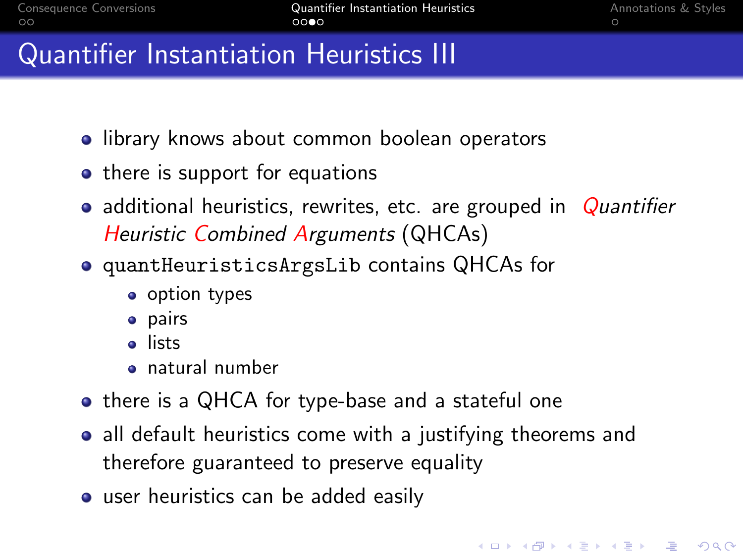#### Quantifier Instantiation Heuristics III

- **.** library knows about common boolean operators
- there is support for equations
- additional heuristics, rewrites, etc. are grouped in  $\alpha$ uantifier **Heuristic Combined Arguments (QHCAs)**
- quantHeuristicsArgsLib contains QHCAs for
	- option types
	- pairs
	- **a** lists
	- natural number
- there is a QHCA for type-base and a stateful one
- all default heuristics come with a justifying theorems and therefore guaranteed to preserve equality
- **•** user heuristics can be added easily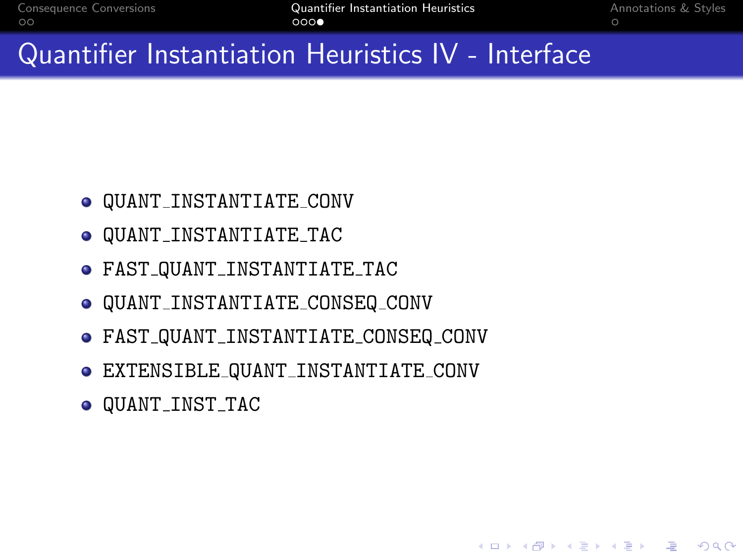#### **KOD KAR KED KED E VOQO**

- $\bullet$  QUANT\_INST\_TAC
- EXTENSIBLE QUANT INSTANTIATE CONV
- FAST QUANT INSTANTIATE CONSEQ CONV
- $\bullet$  QUANT\_INSTANTIATE\_CONSEQ\_CONV
- FAST QUANT INSTANTIATE TAC
- QUANT INSTANTIATE TAC
- $\bullet$  QUANT\_INSTANTIATE\_CONV

Quantifier Instantiation Heuristics IV - Interface